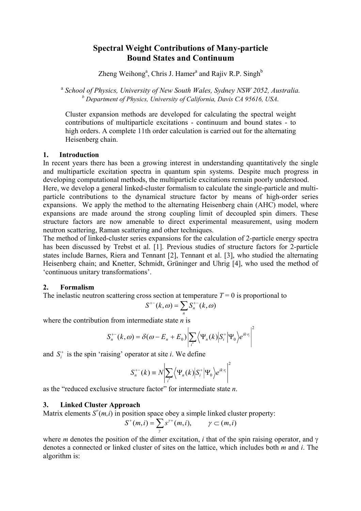# **Spectral Weight Contributions of Many-particle Bound States and Continuum**

Zheng Weihong<sup>a</sup>, Chris J. Hamer<sup>a</sup> and Rajiv R.P. Singh<sup>b</sup>

<sup>a</sup> *School of Physics, University of New South Wales, Sydney NSW 2052, Australia. b Department of Physics, University of California, Davis CA 95616, USA.* 

Cluster expansion methods are developed for calculating the spectral weight contributions of multiparticle excitations - continuum and bound states - to high orders. A complete 11th order calculation is carried out for the alternating Heisenberg chain.

#### **1. Introduction**

In recent years there has been a growing interest in understanding quantitatively the single and multiparticle excitation spectra in quantum spin systems. Despite much progress in developing computational methods, the multiparticle excitations remain poorly understood.

Here, we develop a general linked-cluster formalism to calculate the single-particle and multiparticle contributions to the dynamical structure factor by means of high-order series expansions. We apply the method to the alternating Heisenberg chain (AHC) model, where expansions are made around the strong coupling limit of decoupled spin dimers. These structure factors are now amenable to direct experimental measurement, using modern neutron scattering, Raman scattering and other techniques.

The method of linked-cluster series expansions for the calculation of 2-particle energy spectra has been discussed by Trebst et al. [1]. Previous studies of structure factors for 2-particle states include Barnes, Riera and Tennant [2], Tennant et al. [3], who studied the alternating Heisenberg chain; and Knetter, Schmidt, Grüninger and Uhrig [4], who used the method of 'continuous unitary transformations'.

## **2. Formalism**

The inelastic neutron scattering cross section at temperature  $T = 0$  is proportional to

$$
S^{+-}(k,\omega) = \sum_n S_n^{+-}(k,\omega)
$$

where the contribution from intermediate state *n* is

$$
S_n^{+-}(k,\omega) = \delta(\omega - E_n + E_0) \left| \sum_i \left\langle \Psi_n(k) \middle| S_i^+ \middle| \Psi_0 \right\rangle e^{ik \cdot r_i} \right|^2
$$

and  $S_i^+$  is the spin 'raising' operator at site *i*. We define

$$
S_n^{+-}(k) \equiv N \bigg| \sum_{i^*} \bigg\langle \Psi_n(k) \big| S_i^+ \big| \Psi_0 \bigg\rangle e^{ik \cdot r_i} \bigg|^2
$$

as the "reduced exclusive structure factor" for intermediate state *n*.

## **3. Linked Cluster Approach**

Matrix elements  $S^+(m,i)$  in position space obey a simple linked cluster property:

$$
S^+(m,i) = \sum_{\gamma} s^{\gamma+}(m,i), \qquad \gamma \subset (m,i)
$$

where *m* denotes the position of the dimer excitation, *i* that of the spin raising operator, and γ denotes a connected or linked cluster of sites on the lattice, which includes both *m* and *i*. The algorithm is: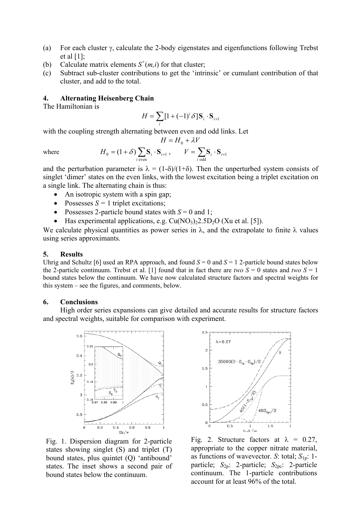- (a) For each cluster γ, calculate the 2-body eigenstates and eigenfunctions following Trebst et al  $[1]$ ;
- (b) Calculate matrix elements  $S^+(m,i)$  for that cluster;
- (c) Subtract sub-cluster contributions to get the 'intrinsic' or cumulant contribution of that cluster, and add to the total.

### **4. Alternating Heisenberg Chain**

The Hamiltonian is

$$
H = \sum_{i} [1 + (-1)^{i} \delta] \mathbf{S}_{i} \cdot \mathbf{S}_{i+1}
$$

with the coupling strength alternating between even and odd links. Let

$$
H = H_0 + \lambda V
$$

where 
$$
H_0 = (1 + \delta) \sum_{i \text{ even}} \mathbf{S}_i \cdot \mathbf{S}_{i+1}, \qquad V = \sum_{i \text{ odd}} \mathbf{S}_i \cdot \mathbf{S}_{i+1}
$$

and the perturbation parameter is  $\lambda = (1-\delta)/(1+\delta)$ . Then the unperturbed system consists of singlet 'dimer' states on the even links, with the lowest excitation being a triplet excitation on a single link. The alternating chain is thus:

- An isotropic system with a spin gap;
- Possesses  $S = 1$  triplet excitations;
- Possesses 2-particle bound states with  $S = 0$  and 1;
- Has experimental applications, e.g.  $Cu(NO<sub>3</sub>)<sub>2</sub>2.5D<sub>2</sub>O$  (Xu et al. [5]).

We calculate physical quantities as power series in  $\lambda$ , and the extrapolate to finite  $\lambda$  values using series approximants.

#### **5. Results**

Uhrig and Schultz [6] used an RPA approach, and found  $S = 0$  and  $S = 1$  2-particle bound states below the 2-particle continuum. Trebst et al. [1] found that in fact there are *two*  $S = 0$  states and *two*  $S = 1$ bound states below the continuum. We have now calculated structure factors and spectral weights for this system – see the figures, and comments, below.

#### **6. Conclusions**

High order series expansions can give detailed and accurate results for structure factors and spectral weights, suitable for comparison with experiment.



Fig. 1. Dispersion diagram for 2-particle states showing singlet (S) and triplet (T) bound states, plus quintet (Q) 'antibound' states. The inset shows a second pair of bound states below the continuum.



Fig. 2. Structure factors at  $\lambda = 0.27$ , appropriate to the copper nitrate material, as functions of wavevector. *S*: total; *S*1p: 1 particle; *S*2p: 2-particle; *S*2pc: 2-particle continuum. The 1-particle contributions account for at least 96% of the total.